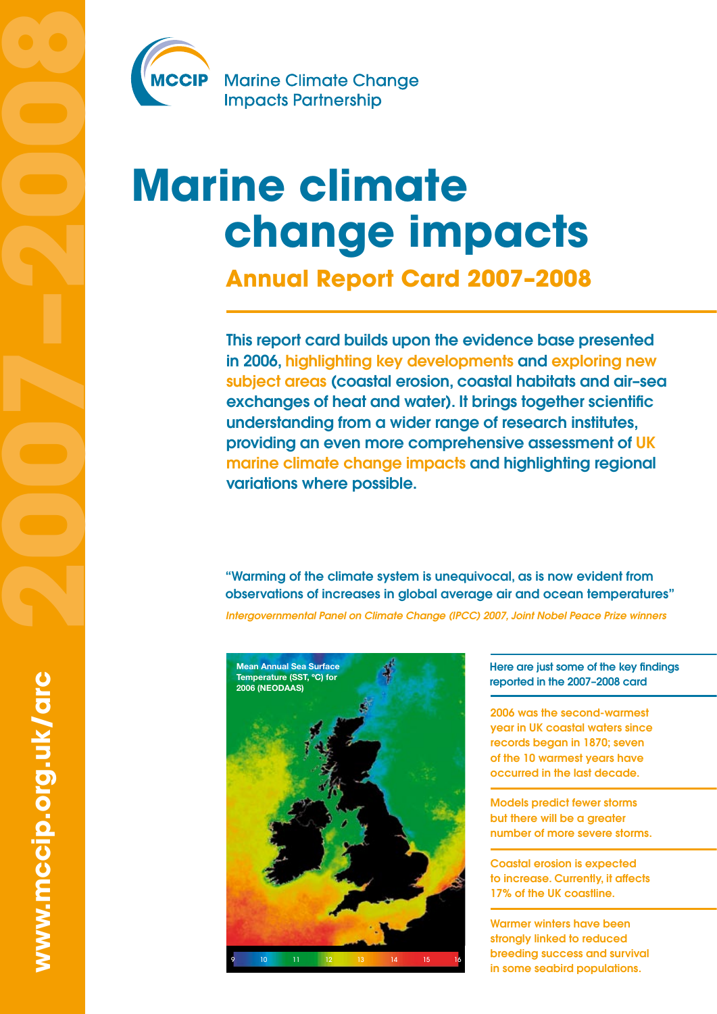

**Marine Climate Change Impacts Partnership** 

# **Marine climate change impacts**

**Annual Report Card 2007–2008**

This report card builds upon the evidence base presented in 2006, highlighting key developments and exploring new subject areas (coastal erosion, coastal habitats and air–sea exchanges of heat and water). It brings together scientific understanding from a wider range of research institutes, providing an even more comprehensive assessment of UK marine climate change impacts and highlighting regional variations where possible.

"Warming of the climate system is unequivocal, as is now evident from observations of increases in global average air and ocean temperatures"

*Intergovernmental Panel on Climate Change (IPCC) 2007, Joint Nobel Peace Prize winners* 



Here are just some of the key findings reported in the 2007–2008 card

2006 was the second-warmest year in UK coastal waters since records began in 1870; seven of the 10 warmest years have occurred in the last decade.

Models predict fewer storms but there will be a greater number of more severe storms.

Coastal erosion is expected to increase. Currently, it affects 17% of the UK coastline.

Warmer winters have been strongly linked to reduced breeding success and survival in some seabird populations.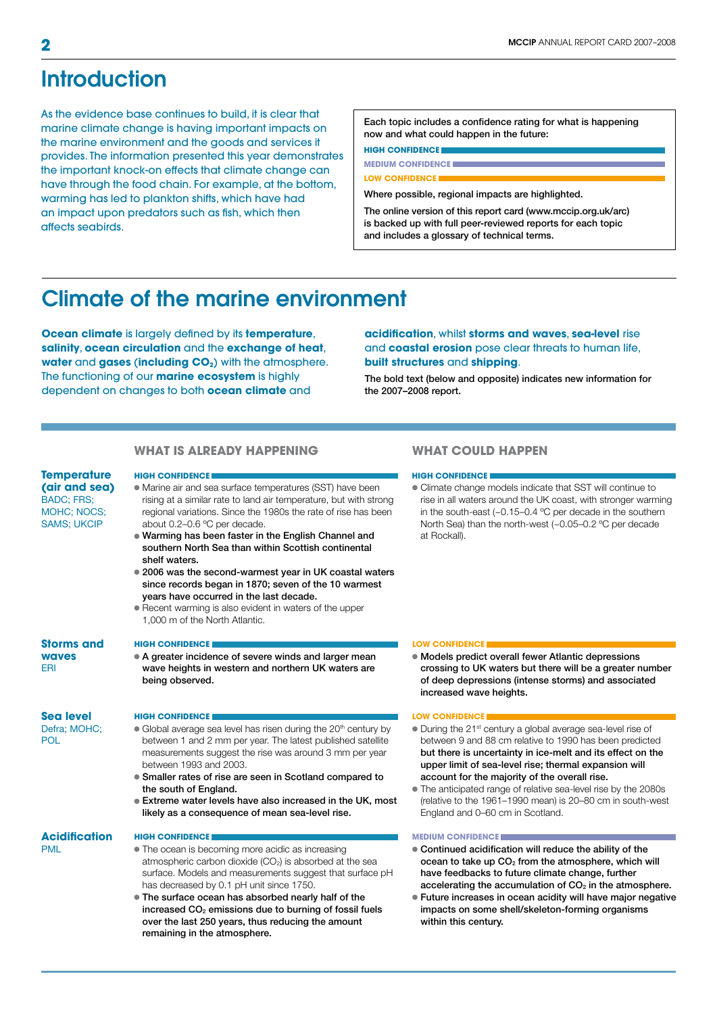## Introduction

As the evidence base continues to build, it is clear that marine climate change is having important impacts on the marine environment and the goods and services it provides. The information presented this year demonstrates the important knock-on effects that climate change can have through the food chain. For example, at the bottom, warming has led to plankton shifts, which have had an impact upon predators such as fish, which then affects seabirds.

Each topic includes a confidence rating for what is happening now and what could happen in the future:

**high CONFIDENCE MEDIUM CONFIDENCE**

#### **LOW CONFIDENCE**

Where possible, regional impacts are highlighted.

The online version of this report card (www.mccip.org.uk/arc) is backed up with full peer-reviewed reports for each topic and includes a glossary of technical terms.

## Climate of the marine environment

**Ocean climate** is largely defined by its **temperature**, **salinity**, **ocean circulation** and the **exchange of heat**, water and gases (including CO<sub>2</sub>) with the atmosphere. The functioning of our **marine ecosystem** is highly dependent on changes to both **ocean climate** and

### **acidification**, whilst **storms and waves**, **sea-level** rise and **coastal erosion** pose clear threats to human life, **built structures** and **shipping**.

The bold text (below and opposite) indicates new information for the 2007–2008 report.

#### **what is already happening**

**Temperature (air and sea)** BADC; FRS; MOHC; NOCS; SAMS; UKCIP

- Marine air and sea surface temperatures (SST) have been rising at a similar rate to land air temperature, but with strong regional variations. Since the 1980s the rate of rise has been about 0.2–0.6 ºC per decade. • Warming has been faster in the English Channel and
	- southern North Sea than within Scottish continental shelf waters.
- 2006 was the second-warmest year in UK coastal waters since records began in 1870; seven of the 10 warmest years have occurred in the last decade.
- **Recent warming is also evident in waters of the upper** 1,000 m of the North Atlantic.

#### **Storms and**

● A greater incidence of severe winds and larger mean wave heights in western and northern UK waters are being observed.

**Sea level** Defra; MOHC;

POL

**waves** ERI

## **high CONFIDENCE low Confidence low Confidence low Confidence l**

- Global average sea level has risen during the 20<sup>th</sup> century by between 1 and 2 mm per year. The latest published satellite measurements suggest the rise was around 3 mm per year between 1993 and 2003.
- **Smaller rates of rise are seen in Scotland compared to** the south of England.
- **Extreme water levels have also increased in the UK, most** likely as a consequence of mean sea-level rise.

### **Acidification**

- PML
- The ocean is becoming more acidic as increasing atmospheric carbon dioxide  $(CO<sub>2</sub>)$  is absorbed at the sea surface. Models and measurements suggest that surface pH has decreased by 0.1 pH unit since 1750.
- The surface ocean has absorbed nearly half of the increased  $CO<sub>2</sub>$  emissions due to burning of fossil fuels over the last 250 years, thus reducing the amount remaining in the atmosphere.

### **what could happen**

#### **high CONFIDENCE high CONFIDENCE**

l Climate change models indicate that SST will continue to rise in all waters around the UK coast, with stronger warming in the south-east (~0.15–0.4 ºC per decade in the southern North Sea) than the north-west (~0.05–0.2 ºC per decade at Rockall).

#### **high CONFIDENCE Low Confidence**

 $\bullet$  Models predict overall fewer Atlantic depressions crossing to UK waters but there will be a greater number of deep depressions (intense storms) and associated increased wave heights.

- l During the 21st century a global average sea-level rise of between 9 and 88 cm relative to 1990 has been predicted but there is uncertainty in ice-melt and its effect on the upper limit of sea-level rise; thermal expansion will account for the majority of the overall rise.
- l The anticipated range of relative sea-level rise by the 2080s (relative to the 1961–1990 mean) is 20–80 cm in south-west England and 0–60 cm in Scotland.

#### **high CONFIDENCE medium CONFIDENCE**

- l Continued acidification will reduce the ability of the ocean to take up CO<sub>2</sub> from the atmosphere, which will have feedbacks to future climate change, further accelerating the accumulation of  $CO<sub>2</sub>$  in the atmosphere.
- l Future increases in ocean acidity will have major negative impacts on some shell/skeleton-forming organisms within this century.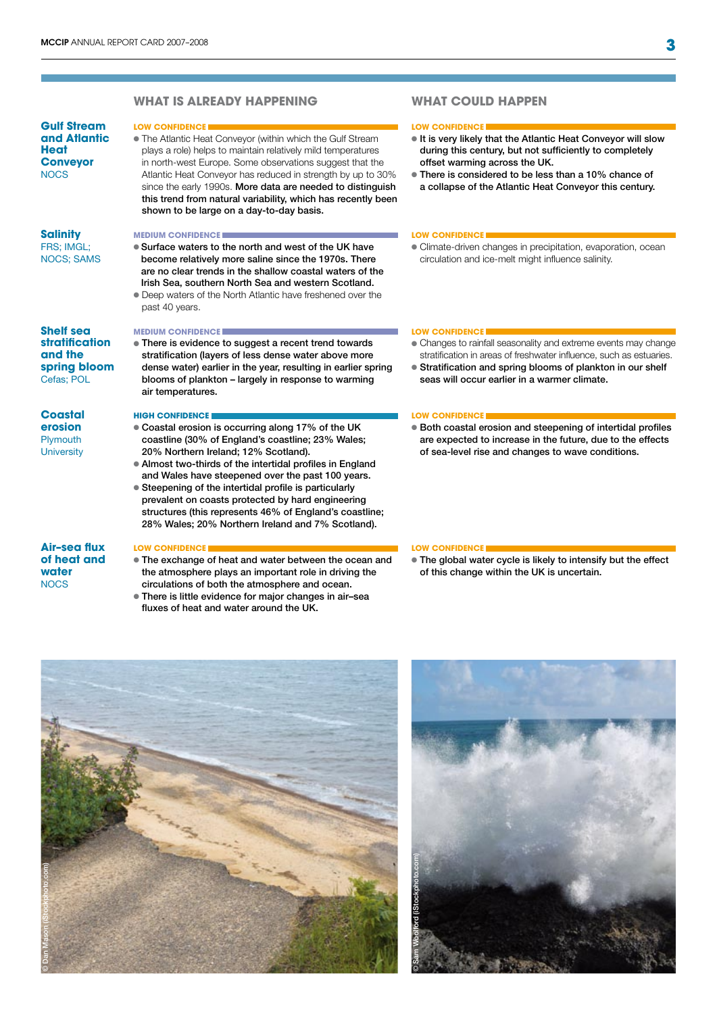|                                                                                    | WHAT IS ALREADY HAPPENING                                                                                                                                                                                                                                                                                                                                                                                                                                                                                                  | WHAT COULD HAPPEN                                                                                                                                                                                                                                                                                   |
|------------------------------------------------------------------------------------|----------------------------------------------------------------------------------------------------------------------------------------------------------------------------------------------------------------------------------------------------------------------------------------------------------------------------------------------------------------------------------------------------------------------------------------------------------------------------------------------------------------------------|-----------------------------------------------------------------------------------------------------------------------------------------------------------------------------------------------------------------------------------------------------------------------------------------------------|
| <b>Gulf Stream</b><br>and Atlantic<br>Heat<br><b>Conveyor</b><br><b>NOCS</b>       | <b>LOW CONFIDENCE</b><br>. The Atlantic Heat Conveyor (within which the Gulf Stream<br>plays a role) helps to maintain relatively mild temperatures<br>in north-west Europe. Some observations suggest that the<br>Atlantic Heat Conveyor has reduced in strength by up to 30%<br>since the early 1990s. More data are needed to distinguish<br>this trend from natural variability, which has recently been<br>shown to be large on a day-to-day basis.                                                                   | <b>LOW CONFIDENCE</b><br>It is very likely that the Atlantic Heat Conveyor will slow<br>during this century, but not sufficiently to completely<br>offset warming across the UK.<br>• There is considered to be less than a 10% chance of<br>a collapse of the Atlantic Heat Conveyor this century. |
| <b>Salinity</b><br>FRS; IMGL;<br><b>NOCS; SAMS</b>                                 | <b>MEDIUM CONFIDENCE</b><br>• Surface waters to the north and west of the UK have<br>become relatively more saline since the 1970s. There<br>are no clear trends in the shallow coastal waters of the<br>Irish Sea, southern North Sea and western Scotland.<br>• Deep waters of the North Atlantic have freshened over the                                                                                                                                                                                                | <b>LOW CONFIDENCE</b><br>· Climate-driven changes in precipitation, evaporation, ocean<br>circulation and ice-melt might influence salinity.                                                                                                                                                        |
| <b>Shelf sea</b><br><b>stratification</b><br>and the<br>spring bloom<br>Cefas; POL | past 40 years.<br><b>MEDIUM CONFIDENCE</b><br>• There is evidence to suggest a recent trend towards<br>stratification (layers of less dense water above more<br>dense water) earlier in the year, resulting in earlier spring<br>blooms of plankton - largely in response to warming<br>air temperatures.                                                                                                                                                                                                                  | <b>LOW CONFIDENCE</b><br>• Changes to rainfall seasonality and extreme events may change<br>stratification in areas of freshwater influence, such as estuaries.<br>• Stratification and spring blooms of plankton in our shelf<br>seas will occur earlier in a warmer climate.                      |
| <b>Coastal</b><br>erosion<br>Plymouth<br><b>University</b>                         | <b>HIGH CONFIDENCE</b><br>. Coastal erosion is occurring along 17% of the UK<br>coastline (30% of England's coastline; 23% Wales;<br>20% Northern Ireland; 12% Scotland).<br>• Almost two-thirds of the intertidal profiles in England<br>and Wales have steepened over the past 100 years.<br>• Steepening of the intertidal profile is particularly<br>prevalent on coasts protected by hard engineering<br>structures (this represents 46% of England's coastline;<br>28% Wales; 20% Northern Ireland and 7% Scotland). | <b>LOW CONFIDENCE!</b><br>· Both coastal erosion and steepening of intertidal profiles<br>are expected to increase in the future, due to the effects<br>of sea-level rise and changes to wave conditions.                                                                                           |
| <b>Air-sea flux</b><br>of heat and<br>water<br><b>NOCS</b>                         | <b>LOW CONFIDENCE</b><br>• The exchange of heat and water between the ocean and<br>the atmosphere plays an important role in driving the<br>circulations of both the atmosphere and ocean.<br>• There is little evidence for major changes in air-sea<br>fluxes of heat and water around the UK.                                                                                                                                                                                                                           | <b>LOW CONFIDENCE</b><br>• The global water cycle is likely to intensify but the effect<br>of this change within the UK is uncertain.                                                                                                                                                               |



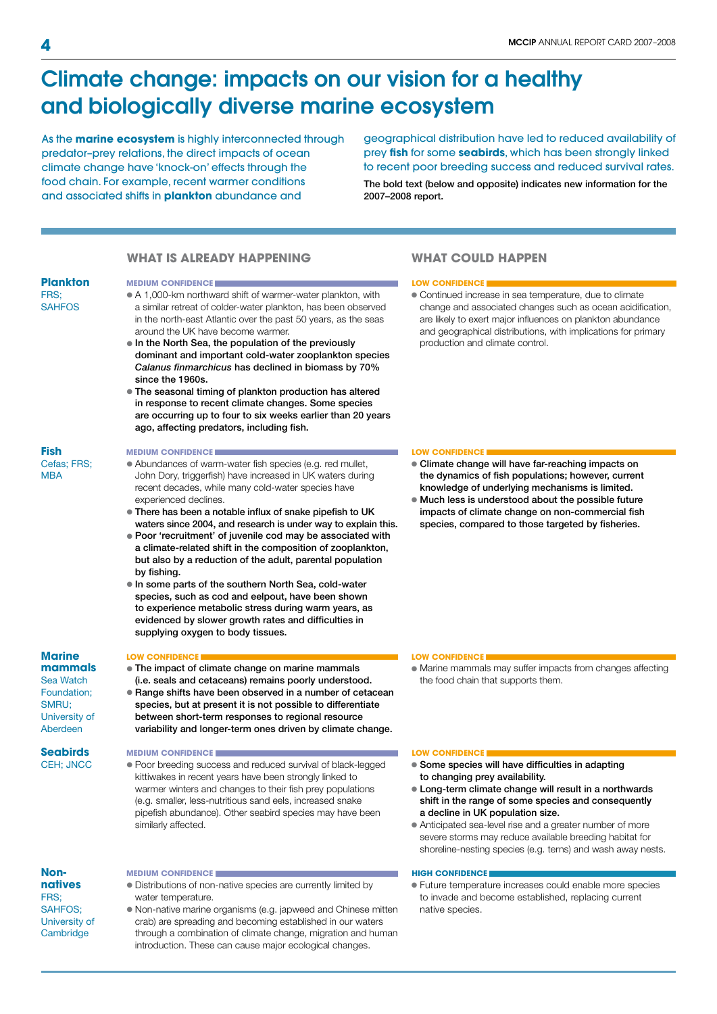## Climate change: impacts on our vision for a healthy and biologically diverse marine ecosystem

As the **marine ecosystem** is highly interconnected through predator–prey relations, the direct impacts of ocean climate change have 'knock-on' effects through the food chain. For example, recent warmer conditions and associated shifts in **plankton** abundance and

geographical distribution have led to reduced availability of prey **fish** for some **seabirds**, which has been strongly linked to recent poor breeding success and reduced survival rates.

The bold text (below and opposite) indicates new information for the 2007–2008 report.

#### **Plankton** FRS; **SAHFOS** MBA Sea Watch **Nonnatives** FRS; SAHFOS; University of **Cambridge what is already happening** • A 1,000-km northward shift of warmer-water plankton, with a similar retreat of colder-water plankton, has been observed in the north-east Atlantic over the past 50 years, as the seas around the UK have become warmer.  $\bullet$  In the North Sea, the population of the previously dominant and important cold-water zooplankton species *Calanus finmarchicus* has declined in biomass by 70% since the 1960s. • The seasonal timing of plankton production has altered in response to recent climate changes. Some species are occurring up to four to six weeks earlier than 20 years ago, affecting predators, including fish. l Abundances of warm-water fish species (e.g. red mullet, John Dory, triggerfish) have increased in UK waters during recent decades, while many cold-water species have experienced declines. **There has been a notable influx of snake pipefish to UK** waters since 2004, and research is under way to explain this. l Poor 'recruitment' of juvenile cod may be associated with a climate-related shift in the composition of zooplankton, but also by a reduction of the adult, parental population by fishing.  $\bullet$  In some parts of the southern North Sea, cold-water species, such as cod and eelpout, have been shown to experience metabolic stress during warm years, as evidenced by slower growth rates and difficulties in supplying oxygen to body tissues. • The impact of climate change on marine mammals (i.e. seals and cetaceans) remains poorly understood. l Range shifts have been observed in a number of cetacean species, but at present it is not possible to differentiate between short-term responses to regional resource variability and longer-term ones driven by climate change. • Poor breeding success and reduced survival of black-legged kittiwakes in recent years have been strongly linked to warmer winters and changes to their fish prey populations (e.g. smaller, less-nutritious sand eels, increased snake pipefish abundance). Other seabird species may have been similarly affected. • Distributions of non-native species are currently limited by water temperature. l Non-native marine organisms (e.g. japweed and Chinese mitten crab) are spreading and becoming established in our waters through a combination of climate change, migration and human introduction. These can cause major ecological changes. **MEDIUM CONFIDENCE low CONFIDENCE low CONFIDENCE MEDIUM CONFIDENCE low Confidence low Confidence low Confidence l LOW CONFIDENCE low** CONFIDENCE **MEDIUM CONFIDENCE low CONFIDENCE low CONFIDENCE MEDIUM CONFIDENCE https://www.industria.com/industria.com/industria.com/industria.com/industria.com/industria.com/industria.com/industria.com/industria.com/industria.com/industria.com/industria.com/industria.com/industr**

### **what could happen**

l Continued increase in sea temperature, due to climate change and associated changes such as ocean acidification, are likely to exert major influences on plankton abundance and geographical distributions, with implications for primary production and climate control.

- Climate change will have far-reaching impacts on the dynamics of fish populations; however, current knowledge of underlying mechanisms is limited.
- $\bullet$  Much less is understood about the possible future impacts of climate change on non-commercial fish species, compared to those targeted by fisheries.

• Marine mammals may suffer impacts from changes affecting the food chain that supports them.

- Some species will have difficulties in adapting to changing prey availability.
- l Long-term climate change will result in a northwards shift in the range of some species and consequently a decline in UK population size.
- Anticipated sea-level rise and a greater number of more severe storms may reduce available breeding habitat for shoreline-nesting species (e.g. terns) and wash away nests.

l Future temperature increases could enable more species to invade and become established, replacing current native species.

**Fish**

## Cefas; FRS;

### **Marine mammals**

Foundation; SMRU; University of Aberdeen

**Seabirds** CEH; JNCC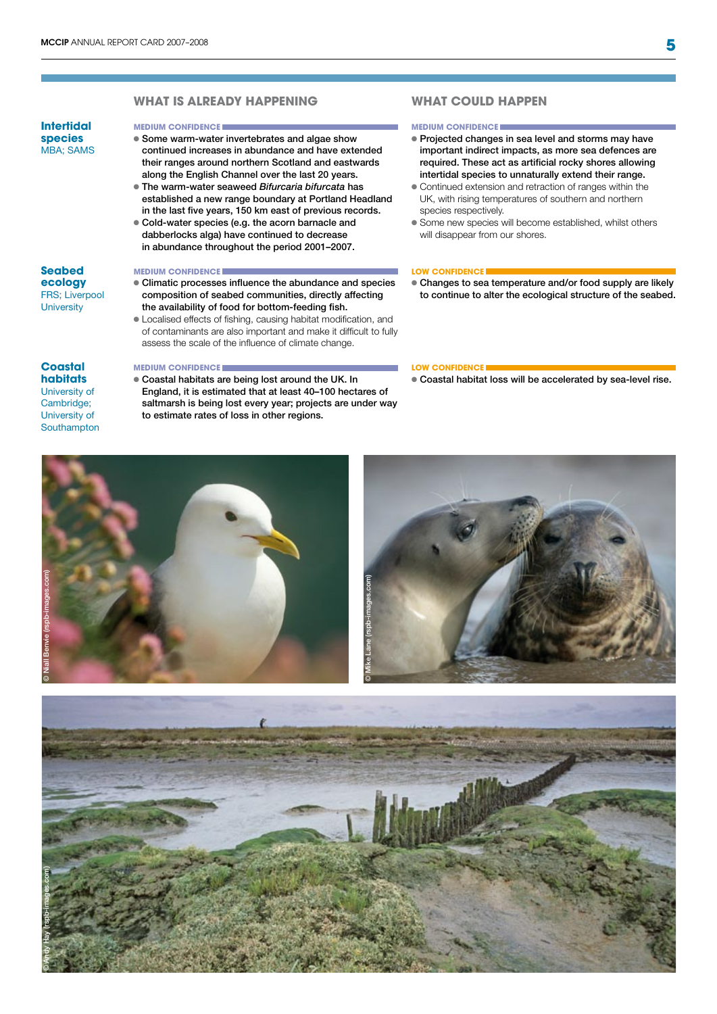### **WHAT IS ALREADY HAPPENING**

### **Intertidal species** MBA; SAMS

### **Some warm-water invertebrates and algae show**

- continued increases in abundance and have extended their ranges around northern Scotland and eastwards along the English Channel over the last 20 years.
- l The warm-water seaweed *Bifurcaria bifurcata* has established a new range boundary at Portland Headland in the last five years, 150 km east of previous records.
- l Cold-water species (e.g. the acorn barnacle and dabberlocks alga) have continued to decrease in abundance throughout the period 2001–2007.

#### **MEDIUM CONFIDENCE low CONFIDENCE low CONFIDENCE**

- Climatic processes influence the abundance and species composition of seabed communities, directly affecting the availability of food for bottom-feeding fish.
- l Localised effects of fishing, causing habitat modification, and of contaminants are also important and make it difficult to fully assess the scale of the influence of climate change.

#### **Coastal habitats**

**Seabed ecology**  FRS; Liverpool **University** 

University of Cambridge; University of **Southampton** 

**Coastal habitats are being lost around the UK. In** England, it is estimated that at least 40–100 hectares of saltmarsh is being lost every year; projects are under way to estimate rates of loss in other regions.

#### **what could happen**

#### **medium CONFIDENCE medium CONFIDENCE**

- Projected changes in sea level and storms may have important indirect impacts, as more sea defences are required. These act as artificial rocky shores allowing intertidal species to unnaturally extend their range.
- l Continued extension and retraction of ranges within the UK, with rising temperatures of southern and northern species respectively.
- **Some new species will become established, whilst others** will disappear from our shores.

l Changes to sea temperature and/or food supply are likely to continue to alter the ecological structure of the seabed.

#### **MEDIUM CONFIDENCE low CONFIDENCE**

 $\bullet$  Coastal habitat loss will be accelerated by sea-level rise.





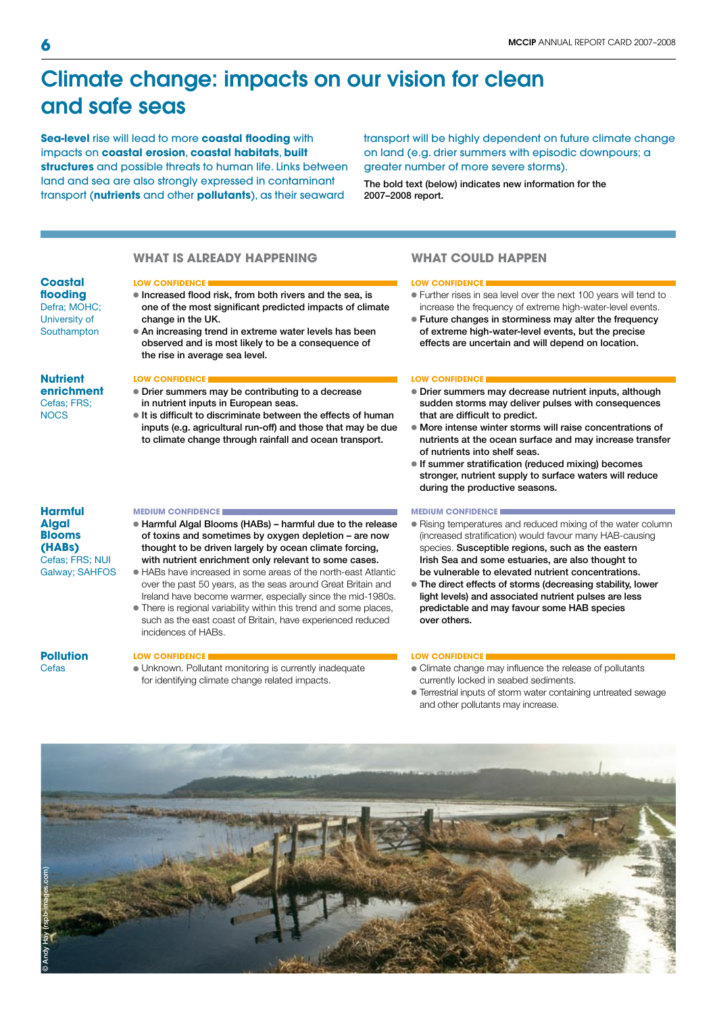## Climate change: impacts on our vision for clean and safe seas

**Sea-level** rise will lead to more **coastal flooding** with impacts on **coastal erosion**, **coastal habitats**, **built structures** and possible threats to human life. Links between land and sea are also strongly expressed in contaminant transport (**nutrients** and other **pollutants**), as their seaward

transport will be highly dependent on future climate change on land (e.g. drier summers with episodic downpours; a greater number of more severe storms).

The bold text (below) indicates new information for the 2007–2008 report.

### **what is already happening**

#### **Coastal flooding** Defra; MOHC;

University of **Southampton** 

- $\bullet$  Increased flood risk, from both rivers and the sea, is one of the most significant predicted impacts of climate change in the UK.
- An increasing trend in extreme water levels has been observed and is most likely to be a consequence of the rise in average sea level.
- **Nutrient enrichment** Cefas; FRS; **NOCS**

- **Drier summers may be contributing to a decrease** in nutrient inputs in European seas.
- $\bullet$  It is difficult to discriminate between the effects of human inputs (e.g. agricultural run-off) and those that may be due to climate change through rainfall and ocean transport.

#### **Harmful Algal Blooms (HABs)** Cefas; FRS; NUI Galway; SAHFOS

- l Harmful Algal Blooms (HABs) harmful due to the release of toxins and sometimes by oxygen depletion – are now thought to be driven largely by ocean climate forcing, with nutrient enrichment only relevant to some cases.
- l HABs have increased in some areas of the north-east Atlantic over the past 50 years, as the seas around Great Britain and Ireland have become warmer, especially since the mid-1980s.
- There is regional variability within this trend and some places, such as the east coast of Britain, have experienced reduced incidences of HABs.

### **Pollution**

Cefas

• Unknown. Pollutant monitoring is currently inadequate for identifying climate change related impacts.

### **what could happen**

#### **low CONFIDENCE low CONFIDENCE**

- l Further rises in sea level over the next 100 years will tend to increase the frequency of extreme high-water-level events.
- l Future changes in storminess may alter the frequency of extreme high-water-level events, but the precise effects are uncertain and will depend on location.

#### **low CONFIDENCE low CONFIDENCE**

- **Drier summers may decrease nutrient inputs, although** sudden storms may deliver pulses with consequences that are difficult to predict.
- l More intense winter storms will raise concentrations of nutrients at the ocean surface and may increase transfer of nutrients into shelf seas.
- If summer stratification (reduced mixing) becomes stronger, nutrient supply to surface waters will reduce during the productive seasons.

#### **medium CONFIDENCE medium CONFIDENCE**

- Rising temperatures and reduced mixing of the water column (increased stratification) would favour many HAB-causing species. Susceptible regions, such as the eastern Irish Sea and some estuaries, are also thought to be vulnerable to elevated nutrient concentrations.
- $\bullet$  The direct effects of storms (decreasing stability, lower light levels) and associated nutrient pulses are less predictable and may favour some HAB species over others.

#### **low CONFIDENCE l**ow CONFIDENCE **l**

- Climate change may influence the release of pollutants currently locked in seabed sediments.
- l Terrestrial inputs of storm water containing untreated sewage and other pollutants may increase.

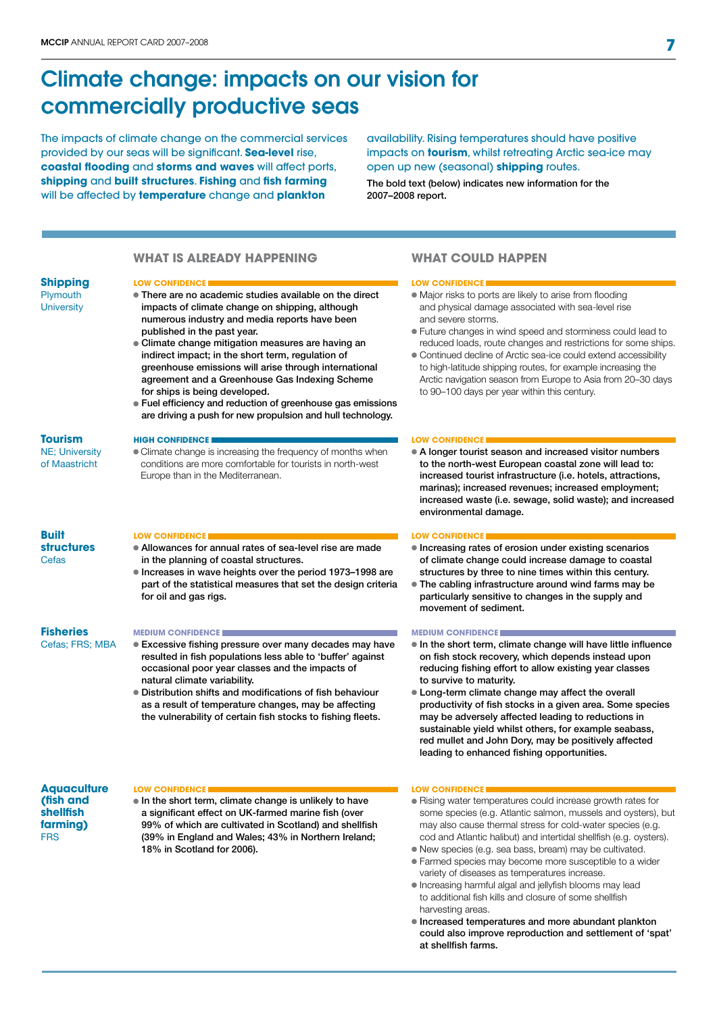## Climate change: impacts on our vision for commercially productive seas

The impacts of climate change on the commercial services provided by our seas will be significant. **Sea-level** rise, **coastal flooding** and **storms and waves** will affect ports, **shipping** and **built structures**. **Fishing** and **fish farming** will be affected by **temperature** change and **plankton**

availability. Rising temperatures should have positive impacts on **tourism**, whilst retreating Arctic sea-ice may open up new (seasonal) **shipping** routes.

The bold text (below) indicates new information for the 2007–2008 report.

### **what is already happening**

#### **Shipping Plymouth**

**University** 

- There are no academic studies available on the direct impacts of climate change on shipping, although numerous industry and media reports have been published in the past year.
- **Climate change mitigation measures are having an** indirect impact; in the short term, regulation of greenhouse emissions will arise through international agreement and a Greenhouse Gas Indexing Scheme for ships is being developed.
- l Fuel efficiency and reduction of greenhouse gas emissions are driving a push for new propulsion and hull technology.

#### NE; University **high CONFIDENCE**

• Climate change is increasing the frequency of months when conditions are more comfortable for tourists in north-west Europe than in the Mediterranean.

#### **Built structures** Cefas

**Tourism** 

of Maastricht

### **low CONFIDENCE low CONFIDENCE**

- Allowances for annual rates of sea-level rise are made in the planning of coastal structures.
- l Increases in wave heights over the period 1973–1998 are part of the statistical measures that set the design criteria for oil and gas rigs.

### **Fisheries**

Cefas; FRS; MBA

### **medium CONFIDENCE**

- Excessive fishing pressure over many decades may have resulted in fish populations less able to 'buffer' against occasional poor year classes and the impacts of natural climate variability.
- l Distribution shifts and modifications of fish behaviour as a result of temperature changes, may be affecting the vulnerability of certain fish stocks to fishing fleets.

#### **Aquaculture (fish and shellfish farming)** FRS

### **low CONFIDENCE low CONFIDENCE**

 $\bullet$  In the short term, climate change is unlikely to have a significant effect on UK-farmed marine fish (over 99% of which are cultivated in Scotland) and shellfish (39% in England and Wales; 43% in Northern Ireland; 18% in Scotland for 2006).

### **what could happen**

#### **low CONFIDENCE low CONFIDENCE**

- Major risks to ports are likely to arise from flooding and physical damage associated with sea-level rise and severe storms.
- l Future changes in wind speed and storminess could lead to reduced loads, route changes and restrictions for some ships.
- Continued decline of Arctic sea-ice could extend accessibility to high-latitude shipping routes, for example increasing the Arctic navigation season from Europe to Asia from 20–30 days to 90–100 days per year within this century.

#### **LOW CONFIDENCE**

• A longer tourist season and increased visitor numbers to the north-west European coastal zone will lead to: increased tourist infrastructure (i.e. hotels, attractions, marinas); increased revenues; increased employment; increased waste (i.e. sewage, solid waste); and increased environmental damage.

- $\bullet$  Increasing rates of erosion under existing scenarios of climate change could increase damage to coastal structures by three to nine times within this century.
- l The cabling infrastructure around wind farms may be particularly sensitive to changes in the supply and movement of sediment.

#### **medium CONFIDENCE**

- $\bullet$  In the short term, climate change will have little influence on fish stock recovery, which depends instead upon reducing fishing effort to allow existing year classes to survive to maturity.
- Long-term climate change may affect the overall productivity of fish stocks in a given area. Some species may be adversely affected leading to reductions in sustainable yield whilst others, for example seabass, red mullet and John Dory, may be positively affected leading to enhanced fishing opportunities.

- Rising water temperatures could increase growth rates for some species (e.g. Atlantic salmon, mussels and oysters), but may also cause thermal stress for cold-water species (e.g. cod and Atlantic halibut) and intertidal shellfish (e.g. oysters).
- l New species (e.g. sea bass, bream) may be cultivated.
- l Farmed species may become more susceptible to a wider variety of diseases as temperatures increase.
- Increasing harmful algal and jellyfish blooms may lead to additional fish kills and closure of some shellfish harvesting areas.
- l Increased temperatures and more abundant plankton could also improve reproduction and settlement of 'spat' at shellfish farms.